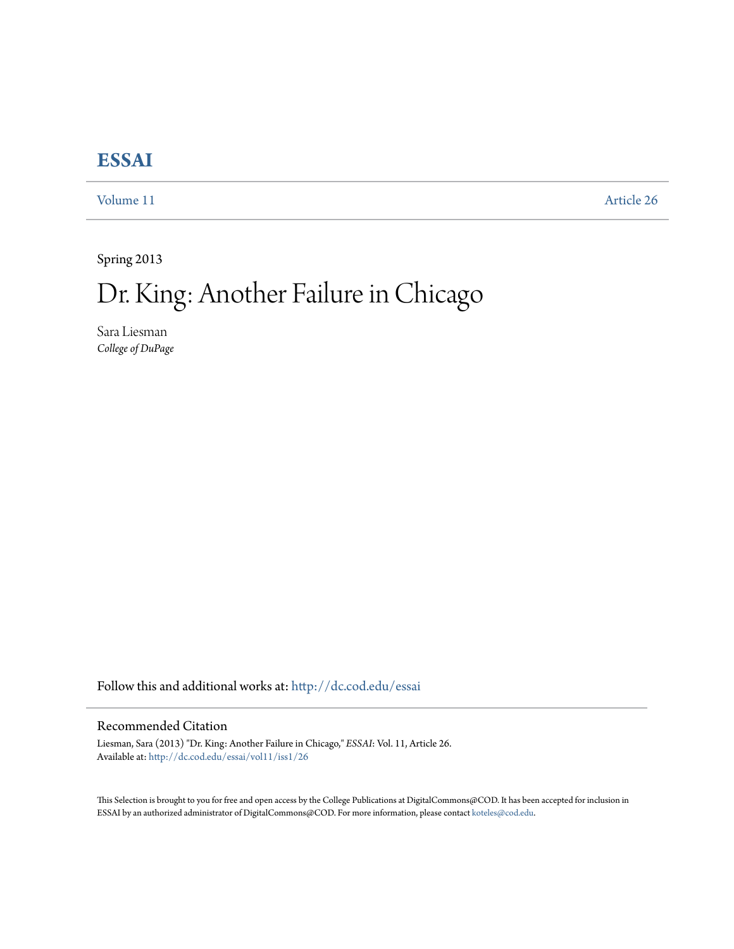## **[ESSAI](http://dc.cod.edu/essai?utm_source=dc.cod.edu%2Fessai%2Fvol11%2Fiss1%2F26&utm_medium=PDF&utm_campaign=PDFCoverPages)**

[Volume 11](http://dc.cod.edu/essai/vol11?utm_source=dc.cod.edu%2Fessai%2Fvol11%2Fiss1%2F26&utm_medium=PDF&utm_campaign=PDFCoverPages) [Article 26](http://dc.cod.edu/essai/vol11/iss1/26?utm_source=dc.cod.edu%2Fessai%2Fvol11%2Fiss1%2F26&utm_medium=PDF&utm_campaign=PDFCoverPages)

Spring 2013

# Dr. King: Another Failure in Chicago

Sara Liesman *College of DuPage*

Follow this and additional works at: [http://dc.cod.edu/essai](http://dc.cod.edu/essai?utm_source=dc.cod.edu%2Fessai%2Fvol11%2Fiss1%2F26&utm_medium=PDF&utm_campaign=PDFCoverPages)

### Recommended Citation

Liesman, Sara (2013) "Dr. King: Another Failure in Chicago," *ESSAI*: Vol. 11, Article 26. Available at: [http://dc.cod.edu/essai/vol11/iss1/26](http://dc.cod.edu/essai/vol11/iss1/26?utm_source=dc.cod.edu%2Fessai%2Fvol11%2Fiss1%2F26&utm_medium=PDF&utm_campaign=PDFCoverPages)

This Selection is brought to you for free and open access by the College Publications at DigitalCommons@COD. It has been accepted for inclusion in ESSAI by an authorized administrator of DigitalCommons@COD. For more information, please contact [koteles@cod.edu](mailto:koteles@cod.edu).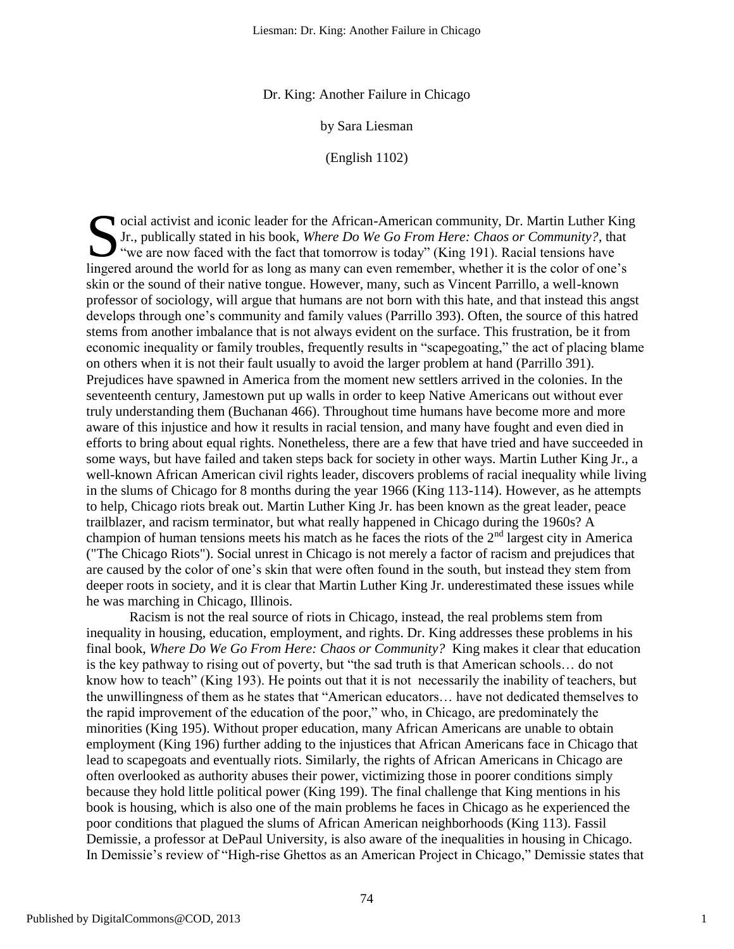Dr. King: Another Failure in Chicago

by Sara Liesman

(English 1102)

ocial activist and iconic leader for the African-American community, Dr. Martin Luther King Jr., publically stated in his book, *Where Do We Go From Here: Chaos or Community?*, that Social activist and iconic leader for the African-American community, Dr. Martin Luther K<br>
Ir., publically stated in his book, Where Do We Go From Here: Chaos or Community?, the<br>
"we are now faced with the fact that tomorr lingered around the world for as long as many can even remember, whether it is the color of one's skin or the sound of their native tongue. However, many, such as Vincent Parrillo, a well-known professor of sociology, will argue that humans are not born with this hate, and that instead this angst develops through one's community and family values (Parrillo 393). Often, the source of this hatred stems from another imbalance that is not always evident on the surface. This frustration, be it from economic inequality or family troubles, frequently results in "scapegoating," the act of placing blame on others when it is not their fault usually to avoid the larger problem at hand (Parrillo 391). Prejudices have spawned in America from the moment new settlers arrived in the colonies. In the seventeenth century, Jamestown put up walls in order to keep Native Americans out without ever truly understanding them (Buchanan 466). Throughout time humans have become more and more aware of this injustice and how it results in racial tension, and many have fought and even died in efforts to bring about equal rights. Nonetheless, there are a few that have tried and have succeeded in some ways, but have failed and taken steps back for society in other ways. Martin Luther King Jr., a well-known African American civil rights leader, discovers problems of racial inequality while living in the slums of Chicago for 8 months during the year 1966 (King 113-114). However, as he attempts to help, Chicago riots break out. Martin Luther King Jr. has been known as the great leader, peace trailblazer, and racism terminator, but what really happened in Chicago during the 1960s? A champion of human tensions meets his match as he faces the riots of the  $2<sup>nd</sup>$  largest city in America ("The Chicago Riots"). Social unrest in Chicago is not merely a factor of racism and prejudices that are caused by the color of one's skin that were often found in the south, but instead they stem from deeper roots in society, and it is clear that Martin Luther King Jr. underestimated these issues while he was marching in Chicago, Illinois.

Racism is not the real source of riots in Chicago, instead, the real problems stem from inequality in housing, education, employment, and rights. Dr. King addresses these problems in his final book, *Where Do We Go From Here: Chaos or Community?* King makes it clear that education is the key pathway to rising out of poverty, but "the sad truth is that American schools... do not know how to teach" (King 193). He points out that it is not necessarily the inability of teachers, but the unwillingness of them as he states that "American educators... have not dedicated themselves to the rapid improvement of the education of the poor," who, in Chicago, are predominately the minorities (King 195). Without proper education, many African Americans are unable to obtain employment (King 196) further adding to the injustices that African Americans face in Chicago that lead to scapegoats and eventually riots. Similarly, the rights of African Americans in Chicago are often overlooked as authority abuses their power, victimizing those in poorer conditions simply because they hold little political power (King 199). The final challenge that King mentions in his book is housing, which is also one of the main problems he faces in Chicago as he experienced the poor conditions that plagued the slums of African American neighborhoods (King 113). Fassil Demissie, a professor at DePaul University, is also aware of the inequalities in housing in Chicago. In Demissie's review of "High-rise Ghettos as an American Project in Chicago," Demissie states that

1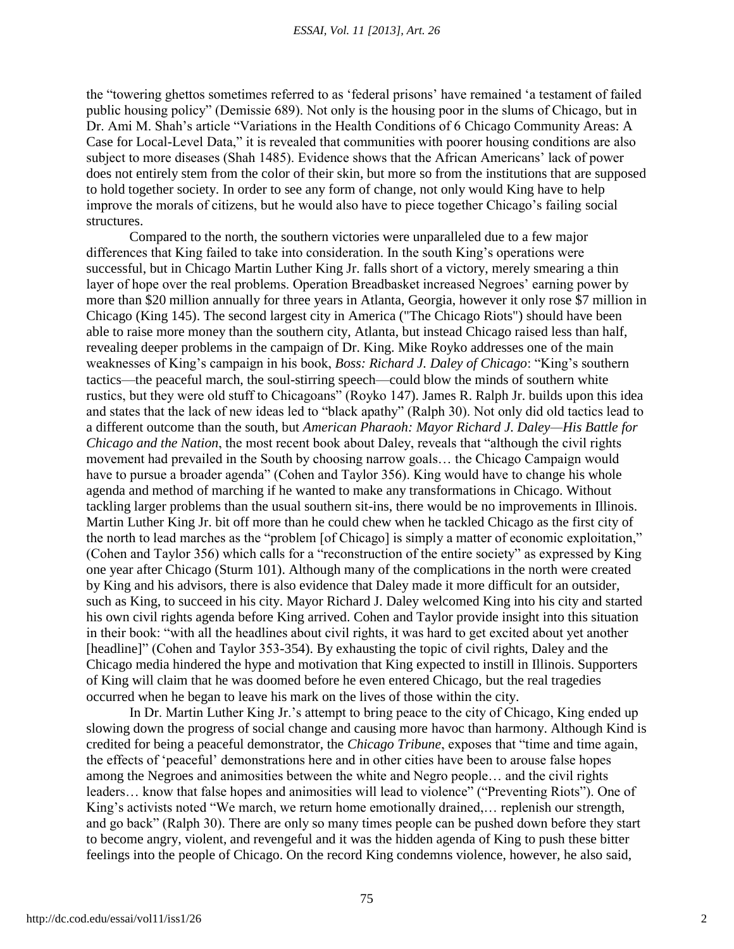the "towering ghettos sometimes referred to as 'federal prisons' have remained 'a testament of failed public housing policy" (Demissie 689). Not only is the housing poor in the slums of Chicago, but in Dr. Ami M. Shah's article "Variations in the Health Conditions of 6 Chicago Community Areas: A Case for Local-Level Data," it is revealed that communities with poorer housing conditions are also subject to more diseases (Shah 1485). Evidence shows that the African Americans' lack of power does not entirely stem from the color of their skin, but more so from the institutions that are supposed to hold together society. In order to see any form of change, not only would King have to help improve the morals of citizens, but he would also have to piece together Chicago's failing social structures.

Compared to the north, the southern victories were unparalleled due to a few major differences that King failed to take into consideration. In the south King's operations were successful, but in Chicago Martin Luther King Jr. falls short of a victory, merely smearing a thin layer of hope over the real problems. Operation Breadbasket increased Negroes' earning power by more than \$20 million annually for three years in Atlanta, Georgia, however it only rose \$7 million in Chicago (King 145). The second largest city in America ("The Chicago Riots") should have been able to raise more money than the southern city, Atlanta, but instead Chicago raised less than half, revealing deeper problems in the campaign of Dr. King. Mike Royko addresses one of the main weaknesses of King's campaign in his book, *Boss: Richard J. Daley of Chicago*: "King's southern tactics—the peaceful march, the soul-stirring speech—could blow the minds of southern white rustics, but they were old stuff to Chicagoans" (Royko 147). James R. Ralph Jr. builds upon this idea and states that the lack of new ideas led to "black apathy" (Ralph 30). Not only did old tactics lead to a different outcome than the south, but *American Pharaoh: Mayor Richard J. Daley—His Battle for Chicago and the Nation*, the most recent book about Daley, reveals that "although the civil rights" movement had prevailed in the South by choosing narrow goals… the Chicago Campaign would have to pursue a broader agenda" (Cohen and Taylor 356). King would have to change his whole agenda and method of marching if he wanted to make any transformations in Chicago. Without tackling larger problems than the usual southern sit-ins, there would be no improvements in Illinois. Martin Luther King Jr. bit off more than he could chew when he tackled Chicago as the first city of the north to lead marches as the "problem [of Chicago] is simply a matter of economic exploitation," (Cohen and Taylor 356) which calls for a "reconstruction of the entire society" as expressed by King one year after Chicago (Sturm 101). Although many of the complications in the north were created by King and his advisors, there is also evidence that Daley made it more difficult for an outsider, such as King, to succeed in his city. Mayor Richard J. Daley welcomed King into his city and started his own civil rights agenda before King arrived. Cohen and Taylor provide insight into this situation in their book: "with all the headlines about civil rights, it was hard to get excited about yet another [headline]" (Cohen and Taylor 353-354). By exhausting the topic of civil rights, Daley and the Chicago media hindered the hype and motivation that King expected to instill in Illinois. Supporters of King will claim that he was doomed before he even entered Chicago, but the real tragedies occurred when he began to leave his mark on the lives of those within the city.

In Dr. Martin Luther King Jr.'s attempt to bring peace to the city of Chicago, King ended up slowing down the progress of social change and causing more havoc than harmony. Although Kind is credited for being a peaceful demonstrator, the *Chicago Tribune*, exposes that "time and time again, the effects of 'peaceful' demonstrations here and in other cities have been to arouse false hopes among the Negroes and animosities between the white and Negro people… and the civil rights leaders... know that false hopes and animosities will lead to violence" ("Preventing Riots"). One of King's activists noted "We march, we return home emotionally drained,... replenish our strength, and go back" (Ralph 30). There are only so many times people can be pushed down before they start to become angry, violent, and revengeful and it was the hidden agenda of King to push these bitter feelings into the people of Chicago. On the record King condemns violence, however, he also said,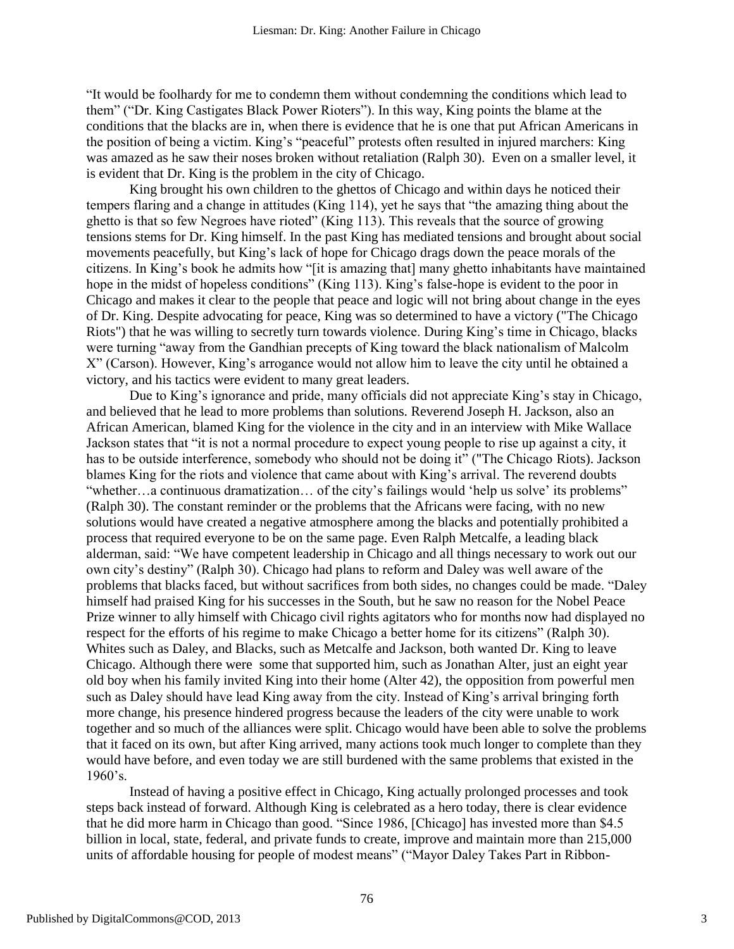―It would be foolhardy for me to condemn them without condemning the conditions which lead to them" ("Dr. King Castigates Black Power Rioters"). In this way, King points the blame at the conditions that the blacks are in, when there is evidence that he is one that put African Americans in the position of being a victim. King's "peaceful" protests often resulted in injured marchers: King was amazed as he saw their noses broken without retaliation (Ralph 30). Even on a smaller level, it is evident that Dr. King is the problem in the city of Chicago.

King brought his own children to the ghettos of Chicago and within days he noticed their tempers flaring and a change in attitudes (King 114), yet he says that "the amazing thing about the ghetto is that so few Negroes have rioted" (King 113). This reveals that the source of growing tensions stems for Dr. King himself. In the past King has mediated tensions and brought about social movements peacefully, but King's lack of hope for Chicago drags down the peace morals of the citizens. In King's book he admits how "[it is amazing that] many ghetto inhabitants have maintained hope in the midst of hopeless conditions" (King 113). King's false-hope is evident to the poor in Chicago and makes it clear to the people that peace and logic will not bring about change in the eyes of Dr. King. Despite advocating for peace, King was so determined to have a victory ("The Chicago Riots") that he was willing to secretly turn towards violence. During King's time in Chicago, blacks were turning "away from the Gandhian precepts of King toward the black nationalism of Malcolm X‖ (Carson). However, King's arrogance would not allow him to leave the city until he obtained a victory, and his tactics were evident to many great leaders.

Due to King's ignorance and pride, many officials did not appreciate King's stay in Chicago, and believed that he lead to more problems than solutions. Reverend Joseph H. Jackson, also an African American, blamed King for the violence in the city and in an interview with Mike Wallace Jackson states that "it is not a normal procedure to expect young people to rise up against a city, it has to be outside interference, somebody who should not be doing it" ("The Chicago Riots). Jackson blames King for the riots and violence that came about with King's arrival. The reverend doubts "whether…a continuous dramatization… of the city's failings would 'help us solve' its problems" (Ralph 30). The constant reminder or the problems that the Africans were facing, with no new solutions would have created a negative atmosphere among the blacks and potentially prohibited a process that required everyone to be on the same page. Even Ralph Metcalfe, a leading black alderman, said: "We have competent leadership in Chicago and all things necessary to work out our own city's destiny" (Ralph 30). Chicago had plans to reform and Daley was well aware of the problems that blacks faced, but without sacrifices from both sides, no changes could be made. "Daley himself had praised King for his successes in the South, but he saw no reason for the Nobel Peace Prize winner to ally himself with Chicago civil rights agitators who for months now had displayed no respect for the efforts of his regime to make Chicago a better home for its citizens" (Ralph 30). Whites such as Daley, and Blacks, such as Metcalfe and Jackson, both wanted Dr. King to leave Chicago. Although there were some that supported him, such as Jonathan Alter, just an eight year old boy when his family invited King into their home (Alter 42), the opposition from powerful men such as Daley should have lead King away from the city. Instead of King's arrival bringing forth more change, his presence hindered progress because the leaders of the city were unable to work together and so much of the alliances were split. Chicago would have been able to solve the problems that it faced on its own, but after King arrived, many actions took much longer to complete than they would have before, and even today we are still burdened with the same problems that existed in the  $1960's.$ 

Instead of having a positive effect in Chicago, King actually prolonged processes and took steps back instead of forward. Although King is celebrated as a hero today, there is clear evidence that he did more harm in Chicago than good. "Since 1986, [Chicago] has invested more than \$4.5 billion in local, state, federal, and private funds to create, improve and maintain more than 215,000 units of affordable housing for people of modest means" ("Mayor Daley Takes Part in Ribbon-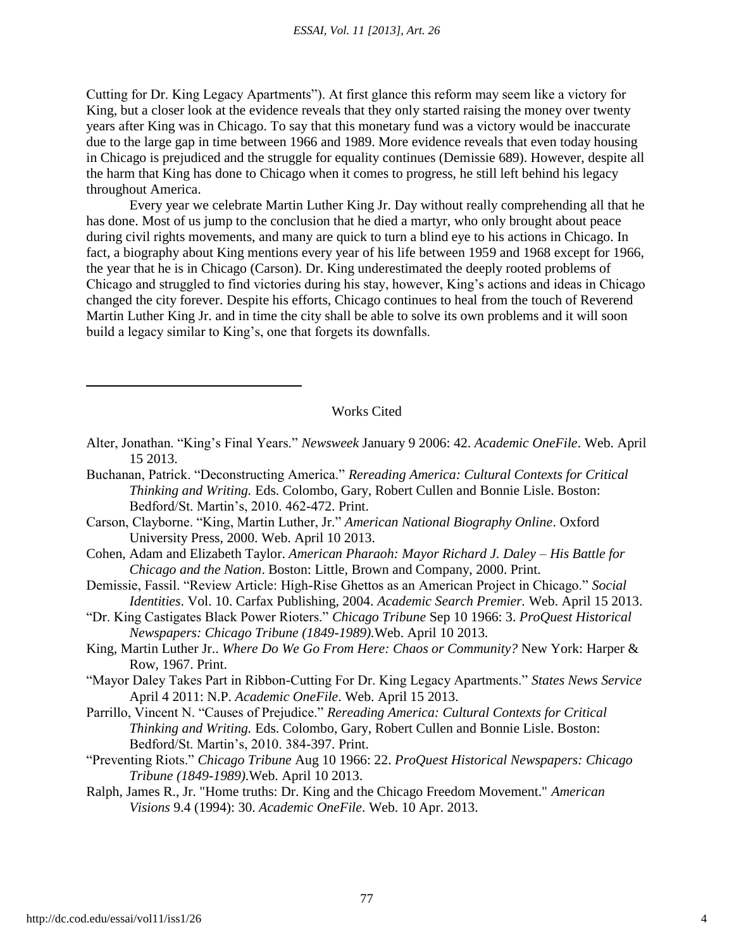#### *ESSAI, Vol. 11 [2013], Art. 26*

Cutting for Dr. King Legacy Apartments"). At first glance this reform may seem like a victory for King, but a closer look at the evidence reveals that they only started raising the money over twenty years after King was in Chicago. To say that this monetary fund was a victory would be inaccurate due to the large gap in time between 1966 and 1989. More evidence reveals that even today housing in Chicago is prejudiced and the struggle for equality continues (Demissie 689). However, despite all the harm that King has done to Chicago when it comes to progress, he still left behind his legacy throughout America.

Every year we celebrate Martin Luther King Jr. Day without really comprehending all that he has done. Most of us jump to the conclusion that he died a martyr, who only brought about peace during civil rights movements, and many are quick to turn a blind eye to his actions in Chicago. In fact, a biography about King mentions every year of his life between 1959 and 1968 except for 1966, the year that he is in Chicago (Carson). Dr. King underestimated the deeply rooted problems of Chicago and struggled to find victories during his stay, however, King's actions and ideas in Chicago changed the city forever. Despite his efforts, Chicago continues to heal from the touch of Reverend Martin Luther King Jr. and in time the city shall be able to solve its own problems and it will soon build a legacy similar to King's, one that forgets its downfalls.

#### Works Cited

- Alter, Jonathan. "King's Final Years." *Newsweek* January 9 2006: 42. *Academic OneFile*. Web. April 15 2013.
- Buchanan, Patrick. "Deconstructing America." *Rereading America: Cultural Contexts for Critical Thinking and Writing.* Eds. Colombo, Gary, Robert Cullen and Bonnie Lisle. Boston: Bedford/St. Martin's, 2010. 462-472. Print.
- Carson, Clayborne. "King, Martin Luther, Jr." *American National Biography Online*. Oxford University Press, 2000. Web. April 10 2013.
- Cohen, Adam and Elizabeth Taylor. *American Pharaoh: Mayor Richard J. Daley – His Battle for Chicago and the Nation*. Boston: Little, Brown and Company, 2000. Print.
- Demissie, Fassil. "Review Article: High-Rise Ghettos as an American Project in Chicago." *Social Identities*. Vol. 10. Carfax Publishing, 2004. *Academic Search Premier.* Web. April 15 2013.
- ―Dr. King Castigates Black Power Rioters.‖ *Chicago Tribune* Sep 10 1966: 3. *ProQuest Historical Newspapers: Chicago Tribune (1849-1989).*Web. April 10 2013.
- King, Martin Luther Jr.. *Where Do We Go From Here: Chaos or Community?* New York: Harper & Row, 1967. Print.
- ―Mayor Daley Takes Part in Ribbon-Cutting For Dr. King Legacy Apartments.‖ *States News Service* April 4 2011: N.P. *Academic OneFile*. Web. April 15 2013.
- Parrillo, Vincent N. "Causes of Prejudice." *Rereading America: Cultural Contexts for Critical Thinking and Writing.* Eds. Colombo, Gary, Robert Cullen and Bonnie Lisle. Boston: Bedford/St. Martin's, 2010. 384-397. Print.
- ―Preventing Riots.‖ *Chicago Tribune* Aug 10 1966: 22. *ProQuest Historical Newspapers: Chicago Tribune (1849-1989).*Web. April 10 2013.
- Ralph, James R., Jr. "Home truths: Dr. King and the Chicago Freedom Movement." *American Visions* 9.4 (1994): 30. *Academic OneFile*. Web. 10 Apr. 2013.